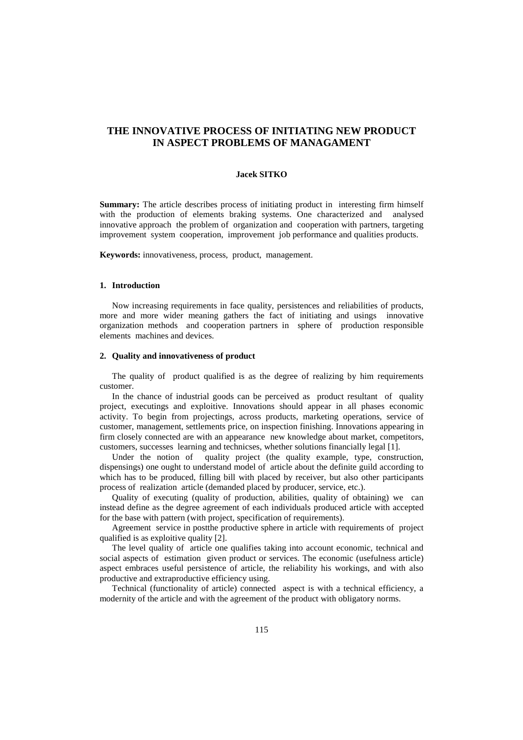# **THE INNOVATIVE PROCESS OF INITIATING NEW PRODUCT IN ASPECT PROBLEMS OF MANAGAMENT**

### **Jacek SITKO**

**Summary:** The article describes process of initiating product in interesting firm himself with the production of elements braking systems. One characterized and analysed innovative approach the problem of organization and cooperation with partners, targeting improvement system cooperation, improvement job performance and qualities products.

**Keywords:** innovativeness, process, product, management.

# **1. Introduction**

Now increasing requirements in face quality, persistences and reliabilities of products, more and more wider meaning gathers the fact of initiating and usings innovative organization methods and cooperation partners in sphere of production responsible elements machines and devices.

# **2. Quality and innovativeness of product**

The quality of product qualified is as the degree of realizing by him requirements customer.

In the chance of industrial goods can be perceived as product resultant of quality project, executings and exploitive. Innovations should appear in all phases economic activity. To begin from projectings, across products, marketing operations, service of customer, management, settlements price, on inspection finishing. Innovations appearing in firm closely connected are with an appearance new knowledge about market, competitors, customers, successes learning and technicses, whether solutions financially legal [1].

Under the notion of quality project (the quality example, type, construction, dispensings) one ought to understand model of article about the definite guild according to which has to be produced, filling bill with placed by receiver, but also other participants process of realization article (demanded placed by producer, service, etc.).

Quality of executing (quality of production, abilities, quality of obtaining) we can instead define as the degree agreement of each individuals produced article with accepted for the base with pattern (with project, specification of requirements).

Agreement service in postthe productive sphere in article with requirements of project qualified is as exploitive quality [2].

The level quality of article one qualifies taking into account economic, technical and social aspects of estimation given product or services. The economic (usefulness article) aspect embraces useful persistence of article, the reliability his workings, and with also productive and extraproductive efficiency using.

Technical (functionality of article) connected aspect is with a technical efficiency, a modernity of the article and with the agreement of the product with obligatory norms.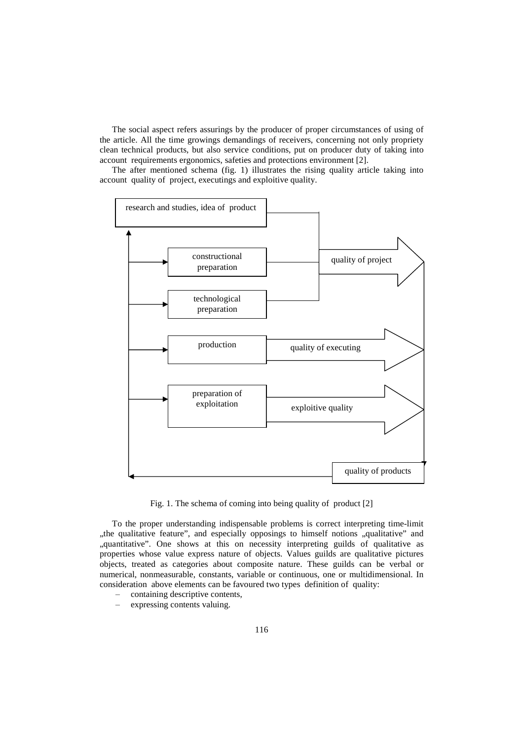The social aspect refers assurings by the producer of proper circumstances of using of the article. All the time growings demandings of receivers, concerning not only propriety clean technical products, but also service conditions, put on producer duty of taking into account requirements ergonomics, safeties and protections environment [2].

The after mentioned schema (fig. 1) illustrates the rising quality article taking into account quality of project, executings and exploitive quality.



Fig. 1. The schema of coming into being quality of product [2]

To the proper understanding indispensable problems is correct interpreting time-limit "the qualitative feature", and especially opposings to himself notions "qualitative" and "quantitative". One shows at this on necessity interpreting guilds of qualitative as properties whose value express nature of objects. Values guilds are qualitative pictures objects, treated as categories about composite nature. These guilds can be verbal or numerical, nonmeasurable, constants, variable or continuous, one or multidimensional. In consideration above elements can be favoured two types definition of quality:

- ‒ containing descriptive contents,
- ‒ expressing contents valuing.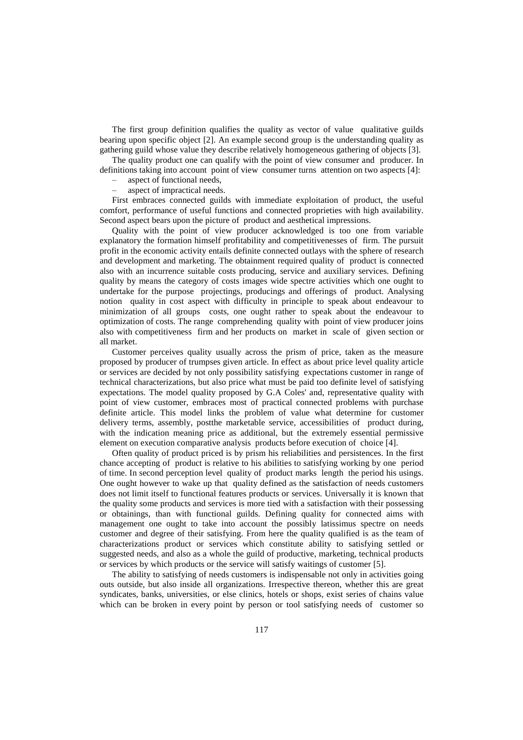The first group definition qualifies the quality as vector of value qualitative guilds bearing upon specific object [2]. An example second group is the understanding quality as gathering guild whose value they describe relatively homogeneous gathering of objects [3].

The quality product one can qualify with the point of view consumer and producer. In definitions taking into account point of view consumer turns attention on two aspects [4]:

‒ aspect of functional needs,

‒ aspect of impractical needs.

First embraces connected guilds with immediate exploitation of product, the useful comfort, performance of useful functions and connected proprieties with high availability. Second aspect bears upon the picture of product and aesthetical impressions.

Quality with the point of view producer acknowledged is too one from variable explanatory the formation himself profitability and competitivenesses of firm. The pursuit profit in the economic activity entails definite connected outlays with the sphere of research and development and marketing. The obtainment required quality of product is connected also with an incurrence suitable costs producing, service and auxiliary services. Defining quality by means the category of costs images wide spectre activities which one ought to undertake for the purpose projectings, producings and offerings of product. Analysing notion quality in cost aspect with difficulty in principle to speak about endeavour to minimization of all groups costs, one ought rather to speak about the endeavour to optimization of costs. The range comprehending quality with point of view producer joins also with competitiveness firm and her products on market in scale of given section or all market.

Customer perceives quality usually across the prism of price, taken as the measure proposed by producer of trumpses given article. In effect as about price level quality article or services are decided by not only possibility satisfying expectations customer in range of technical characterizations, but also price what must be paid too definite level of satisfying expectations. The model quality proposed by G.A Coles' and, representative quality with point of view customer, embraces most of practical connected problems with purchase definite article. This model links the problem of value what determine for customer delivery terms, assembly, postthe marketable service, accessibilities of product during, with the indication meaning price as additional, but the extremely essential permissive element on execution comparative analysis products before execution of choice [4].

Often quality of product priced is by prism his reliabilities and persistences. In the first chance accepting of product is relative to his abilities to satisfying working by one period of time. In second perception level quality of product marks length the period his usings. One ought however to wake up that quality defined as the satisfaction of needs customers does not limit itself to functional features products or services. Universally it is known that the quality some products and services is more tied with a satisfaction with their possessing or obtainings, than with functional guilds. Defining quality for connected aims with management one ought to take into account the possibly latissimus spectre on needs customer and degree of their satisfying. From here the quality qualified is as the team of characterizations product or services which constitute ability to satisfying settled or suggested needs, and also as a whole the guild of productive, marketing, technical products or services by which products or the service will satisfy waitings of customer [5].

The ability to satisfying of needs customers is indispensable not only in activities going outs outside, but also inside all organizations. Irrespective thereon, whether this are great syndicates, banks, universities, or else clinics, hotels or shops, exist series of chains value which can be broken in every point by person or tool satisfying needs of customer so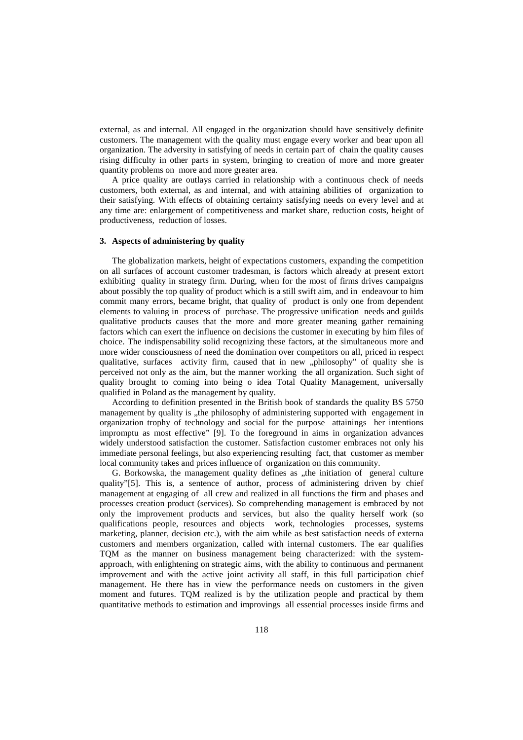external, as and internal. All engaged in the organization should have sensitively definite customers. The management with the quality must engage every worker and bear upon all organization. The adversity in satisfying of needs in certain part of chain the quality causes rising difficulty in other parts in system, bringing to creation of more and more greater quantity problems on more and more greater area.

A price quality are outlays carried in relationship with a continuous check of needs customers, both external, as and internal, and with attaining abilities of organization to their satisfying. With effects of obtaining certainty satisfying needs on every level and at any time are: enlargement of competitiveness and market share, reduction costs, height of productiveness, reduction of losses.

#### **3. Aspects of administering by quality**

The globalization markets, height of expectations customers, expanding the competition on all surfaces of account customer tradesman, is factors which already at present extort exhibiting quality in strategy firm. During, when for the most of firms drives campaigns about possibly the top quality of product which is a still swift aim, and in endeavour to him commit many errors, became bright, that quality of product is only one from dependent elements to valuing in process of purchase. The progressive unification needs and guilds qualitative products causes that the more and more greater meaning gather remaining factors which can exert the influence on decisions the customer in executing by him files of choice. The indispensability solid recognizing these factors, at the simultaneous more and more wider consciousness of need the domination over competitors on all, priced in respect qualitative, surfaces activity firm, caused that in new "philosophy" of quality she is perceived not only as the aim, but the manner working the all organization. Such sight of quality brought to coming into being o idea Total Quality Management, universally qualified in Poland as the management by quality.

According to definition presented in the British book of standards the quality BS 5750 management by quality is ..the philosophy of administering supported with engagement in organization trophy of technology and social for the purpose attainings her intentions impromptu as most effective" [9]. To the foreground in aims in organization advances widely understood satisfaction the customer. Satisfaction customer embraces not only his immediate personal feelings, but also experiencing resulting fact, that customer as member local community takes and prices influence of organization on this community.

G. Borkowska, the management quality defines as "the initiation of general culture quality"[5]. This is, a sentence of author, process of administering driven by chief management at engaging of all crew and realized in all functions the firm and phases and processes creation product (services). So comprehending management is embraced by not only the improvement products and services, but also the quality herself work (so qualifications people, resources and objects work, technologies processes, systems marketing, planner, decision etc.), with the aim while as best satisfaction needs of externa customers and members organization, called with internal customers. The ear qualifies TQM as the manner on business management being characterized: with the systemapproach, with enlightening on strategic aims, with the ability to continuous and permanent improvement and with the active joint activity all staff, in this full participation chief management. He there has in view the performance needs on customers in the given moment and futures. TQM realized is by the utilization people and practical by them quantitative methods to estimation and improvings all essential processes inside firms and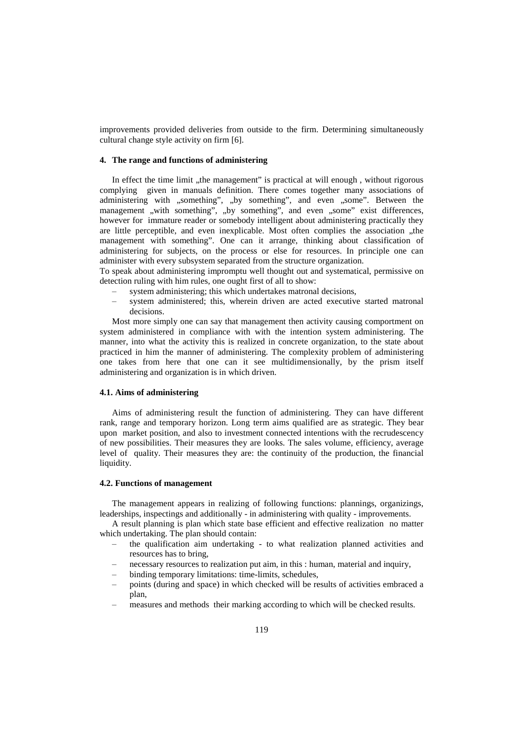improvements provided deliveries from outside to the firm. Determining simultaneously cultural change style activity on firm [6].

### **4. The range and functions of administering**

In effect the time limit , the management" is practical at will enough, without rigorous complying given in manuals definition. There comes together many associations of administering with "something", "by something", and even "some". Between the management "with something", "by something", and even "some" exist differences, however for immature reader or somebody intelligent about administering practically they are little perceptible, and even inexplicable. Most often complies the association "the management with something". One can it arrange, thinking about classification of administering for subjects, on the process or else for resources. In principle one can administer with every subsystem separated from the structure organization.

To speak about administering impromptu well thought out and systematical, permissive on detection ruling with him rules, one ought first of all to show:

- system administering; this which undertakes matronal decisions,
- ‒ system administered; this, wherein driven are acted executive started matronal decisions.

Most more simply one can say that management then activity causing comportment on system administered in compliance with with the intention system administering. The manner, into what the activity this is realized in concrete organization, to the state about practiced in him the manner of administering. The complexity problem of administering one takes from here that one can it see multidimensionally, by the prism itself administering and organization is in which driven.

# **4.1. Aims of administering**

Aims of administering result the function of administering. They can have different rank, range and temporary horizon. Long term aims qualified are as strategic. They bear upon market position, and also to investment connected intentions with the recrudescency of new possibilities. Their measures they are looks. The sales volume, efficiency, average level of quality. Their measures they are: the continuity of the production, the financial liquidity.

### **4.2. Functions of management**

The management appears in realizing of following functions: plannings, organizings, leaderships, inspectings and additionally - in administering with quality - improvements.

A result planning is plan which state base efficient and effective realization no matter which undertaking. The plan should contain:

- the qualification aim undertaking to what realization planned activities and resources has to bring,
- ‒ necessary resources to realization put aim, in this : human, material and inquiry,
- ‒ binding temporary limitations: time-limits, schedules,
- ‒ points (during and space) in which checked will be results of activities embraced a plan,
- ‒ measures and methods their marking according to which will be checked results.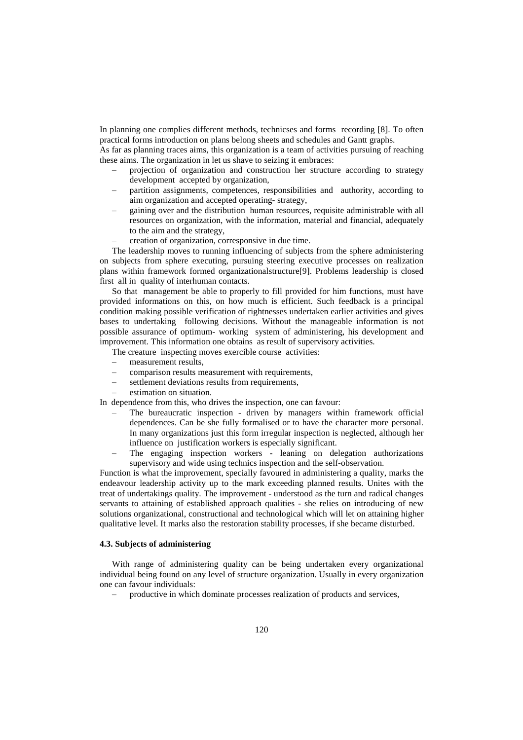In planning one complies different methods, technicses and forms recording [8]. To often practical forms introduction on plans belong sheets and schedules and Gantt graphs.

As far as planning traces aims, this organization is a team of activities pursuing of reaching these aims. The organization in let us shave to seizing it embraces:

- ‒ projection of organization and construction her structure according to strategy development accepted by organization,
- ‒ partition assignments, competences, responsibilities and authority, according to aim organization and accepted operating- strategy,
- ‒ gaining over and the distribution human resources, requisite administrable with all resources on organization, with the information, material and financial, adequately to the aim and the strategy,
- ‒ creation of organization, corresponsive in due time.

The leadership moves to running influencing of subjects from the sphere administering on subjects from sphere executing, pursuing steering executive processes on realization plans within framework formed organizationalstructure[9]. Problems leadership is closed first all in quality of interhuman contacts.

So that management be able to properly to fill provided for him functions, must have provided informations on this, on how much is efficient. Such feedback is a principal condition making possible verification of rightnesses undertaken earlier activities and gives bases to undertaking following decisions. Without the manageable information is not possible assurance of optimum- working system of administering, his development and improvement. This information one obtains as result of supervisory activities.

The creature inspecting moves exercible course activities:

- ‒ measurement results,
- ‒ comparison results measurement with requirements,
- ‒ settlement deviations results from requirements,
- ‒ estimation on situation.

In dependence from this, who drives the inspection, one can favour:

- ‒ The bureaucratic inspection driven by managers within framework official dependences. Can be she fully formalised or to have the character more personal. In many organizations just this form irregular inspection is neglected, although her influence on justification workers is especially significant.
- ‒ The engaging inspection workers leaning on delegation authorizations supervisory and wide using technics inspection and the self-observation.

Function is what the improvement, specially favoured in administering a quality, marks the endeavour leadership activity up to the mark exceeding planned results. Unites with the treat of undertakings quality. The improvement - understood as the turn and radical changes servants to attaining of established approach qualities - she relies on introducing of new solutions organizational, constructional and technological which will let on attaining higher qualitative level. It marks also the restoration stability processes, if she became disturbed.

# **4.3. Subjects of administering**

With range of administering quality can be being undertaken every organizational individual being found on any level of structure organization. Usually in every organization one can favour individuals:

‒ productive in which dominate processes realization of products and services,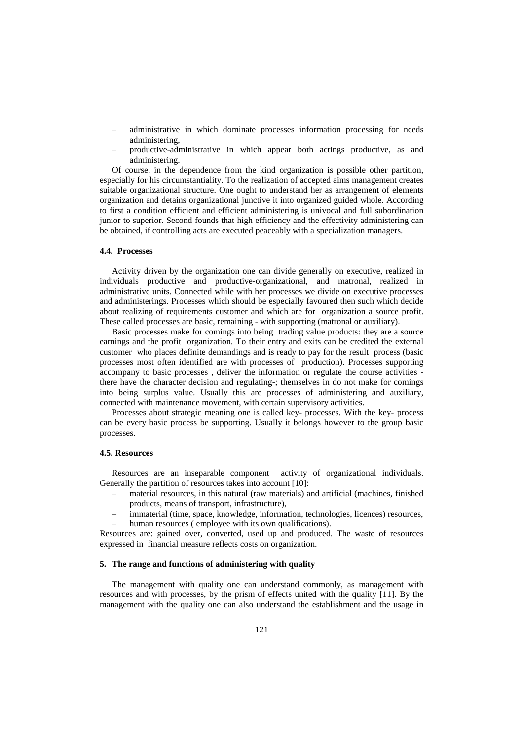- ‒ administrative in which dominate processes information processing for needs administering,
- ‒ productive-administrative in which appear both actings productive, as and administering.

Of course, in the dependence from the kind organization is possible other partition, especially for his circumstantiality. To the realization of accepted aims management creates suitable organizational structure. One ought to understand her as arrangement of elements organization and detains organizational junctive it into organized guided whole. According to first a condition efficient and efficient administering is univocal and full subordination junior to superior. Second founds that high efficiency and the effectivity administering can be obtained, if controlling acts are executed peaceably with a specialization managers.

#### **4.4. Processes**

Activity driven by the organization one can divide generally on executive, realized in individuals productive and productive-organizational, and matronal, realized in administrative units. Connected while with her processes we divide on executive processes and administerings. Processes which should be especially favoured then such which decide about realizing of requirements customer and which are for organization a source profit. These called processes are basic, remaining - with supporting (matronal or auxiliary).

Basic processes make for comings into being trading value products: they are a source earnings and the profit organization. To their entry and exits can be credited the external customer who places definite demandings and is ready to pay for the result process (basic processes most often identified are with processes of production). Processes supporting accompany to basic processes , deliver the information or regulate the course activities there have the character decision and regulating-; themselves in do not make for comings into being surplus value. Usually this are processes of administering and auxiliary, connected with maintenance movement, with certain supervisory activities.

Processes about strategic meaning one is called key- processes. With the key- process can be every basic process be supporting. Usually it belongs however to the group basic processes.

### **4.5. Resources**

Resources are an inseparable component activity of organizational individuals. Generally the partition of resources takes into account [10]:

- ‒ material resources, in this natural (raw materials) and artificial (machines, finished products, means of transport, infrastructure),
- immaterial (time, space, knowledge, information, technologies, licences) resources, human resources (employee with its own qualifications).

Resources are: gained over, converted, used up and produced. The waste of resources expressed in financial measure reflects costs on organization.

## **5. The range and functions of administering with quality**

The management with quality one can understand commonly, as management with resources and with processes, by the prism of effects united with the quality [11]. By the management with the quality one can also understand the establishment and the usage in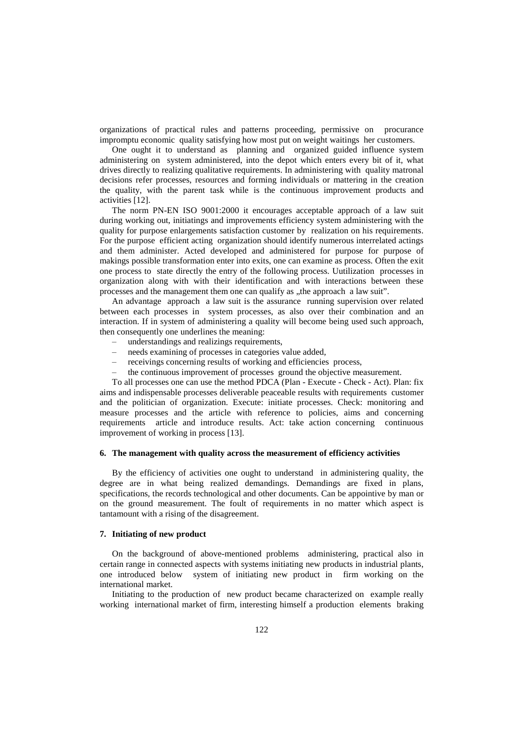organizations of practical rules and patterns proceeding, permissive on procurance impromptu economic quality satisfying how most put on weight waitings her customers.

One ought it to understand as planning and organized guided influence system administering on system administered, into the depot which enters every bit of it, what drives directly to realizing qualitative requirements. In administering with quality matronal decisions refer processes, resources and forming individuals or mattering in the creation the quality, with the parent task while is the continuous improvement products and activities [12].

The norm PN-EN ISO 9001:2000 it encourages acceptable approach of a law suit during working out, initiatings and improvements efficiency system administering with the quality for purpose enlargements satisfaction customer by realization on his requirements. For the purpose efficient acting organization should identify numerous interrelated actings and them administer. Acted developed and administered for purpose for purpose of makings possible transformation enter into exits, one can examine as process. Often the exit one process to state directly the entry of the following process. Uutilization processes in organization along with with their identification and with interactions between these processes and the management them one can qualify as "the approach a law suit".

An advantage approach a law suit is the assurance running supervision over related between each processes in system processes, as also over their combination and an interaction. If in system of administering a quality will become being used such approach, then consequently one underlines the meaning:

- ‒ understandings and realizings requirements,
- ‒ needs examining of processes in categories value added,
- ‒ receivings concerning results of working and efficiencies process,
- ‒ the continuous improvement of processes ground the objective measurement.

To all processes one can use the method PDCA (Plan - Execute - Check - Act). Plan: fix aims and indispensable processes deliverable peaceable results with requirements customer and the politician of organization. Execute: initiate processes. Check: monitoring and measure processes and the article with reference to policies, aims and concerning requirements article and introduce results. Act: take action concerning continuous improvement of working in process [13].

### **6. The management with quality across the measurement of efficiency activities**

By the efficiency of activities one ought to understand in administering quality, the degree are in what being realized demandings. Demandings are fixed in plans, specifications, the records technological and other documents. Can be appointive by man or on the ground measurement. The foult of requirements in no matter which aspect is tantamount with a rising of the disagreement.

## **7. Initiating of new product**

On the background of above-mentioned problems administering, practical also in certain range in connected aspects with systems initiating new products in industrial plants, one introduced below system of initiating new product in firm working on the international market.

Initiating to the production of new product became characterized on example really working international market of firm, interesting himself a production elements braking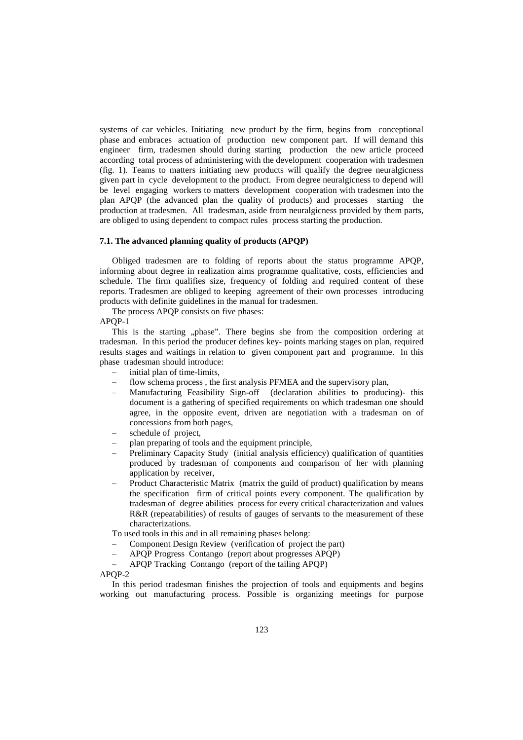systems of car vehicles. Initiating new product by the firm, begins from conceptional phase and embraces actuation of production new component part. If will demand this engineer firm, tradesmen should during starting production the new article proceed according total process of administering with the development cooperation with tradesmen (fig. 1). Teams to matters initiating new products will qualify the degree neuralgicness given part in cycle development to the product. From degree neuralgicness to depend will be level engaging workers to matters development cooperation with tradesmen into the plan APQP (the advanced plan the quality of products) and processes starting the production at tradesmen. All tradesman, aside from neuralgicness provided by them parts, are obliged to using dependent to compact rules process starting the production.

#### **7.1. The advanced planning quality of products (APQP)**

Obliged tradesmen are to folding of reports about the status programme APQP, informing about degree in realization aims programme qualitative, costs, efficiencies and schedule. The firm qualifies size, frequency of folding and required content of these reports. Tradesmen are obliged to keeping agreement of their own processes introducing products with definite guidelines in the manual for tradesmen.

The process APQP consists on five phases:

APQP-1

This is the starting "phase". There begins she from the composition ordering at tradesman. In this period the producer defines key- points marking stages on plan, required results stages and waitings in relation to given component part and programme. In this phase tradesman should introduce:

- initial plan of time-limits,
- flow schema process, the first analysis PFMEA and the supervisory plan,
- ‒ Manufacturing Feasibility Sign-off (declaration abilities to producing)- this document is a gathering of specified requirements on which tradesman one should agree, in the opposite event, driven are negotiation with a tradesman on of concessions from both pages,
- schedule of project,
- ‒ plan preparing of tools and the equipment principle,
- ‒ Preliminary Capacity Study (initial analysis efficiency) qualification of quantities produced by tradesman of components and comparison of her with planning application by receiver,
- ‒ Product Characteristic Matrix (matrix the guild of product) qualification by means the specification firm of critical points every component. The qualification by tradesman of degree abilities process for every critical characterization and values R&R (repeatabilities) of results of gauges of servants to the measurement of these characterizations.

To used tools in this and in all remaining phases belong:

- ‒ Component Design Review (verification of project the part)
- ‒ APQP Progress Contango (report about progresses APQP)
- ‒ APQP Tracking Contango (report of the tailing APQP)

APQP-2

In this period tradesman finishes the projection of tools and equipments and begins working out manufacturing process. Possible is organizing meetings for purpose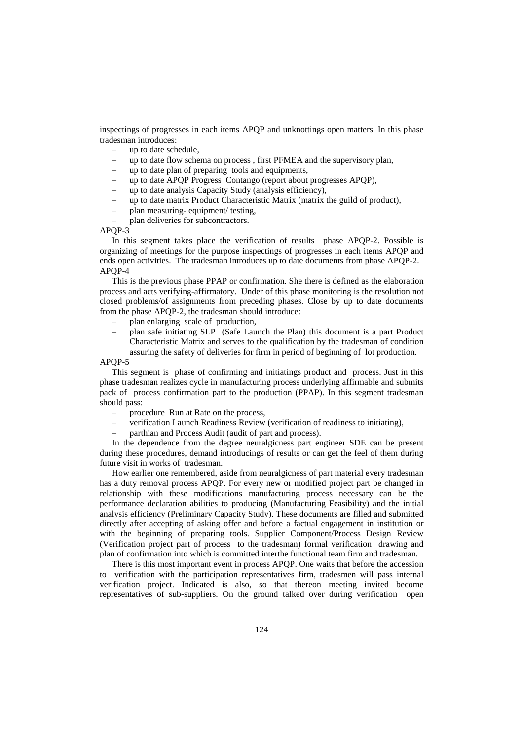inspectings of progresses in each items APQP and unknottings open matters. In this phase tradesman introduces:

- ‒ up to date schedule,
- ‒ up to date flow schema on process , first PFMEA and the supervisory plan,
- ‒ up to date plan of preparing tools and equipments,
- ‒ up to date APQP Progress Contango (report about progresses APQP),
- ‒ up to date analysis Capacity Study (analysis efficiency),
- ‒ up to date matrix Product Characteristic Matrix (matrix the guild of product),
- ‒ plan measuring- equipment/ testing,
- plan deliveries for subcontractors.

APQP-3

In this segment takes place the verification of results phase APQP-2. Possible is organizing of meetings for the purpose inspectings of progresses in each items APQP and ends open activities. The tradesman introduces up to date documents from phase APQP-2. APQP-4

This is the previous phase PPAP or confirmation. She there is defined as the elaboration process and acts verifying-affirmatory. Under of this phase monitoring is the resolution not closed problems/of assignments from preceding phases. Close by up to date documents from the phase APQP-2, the tradesman should introduce:

- ‒ plan enlarging scale of production,
- ‒ plan safe initiating SLP (Safe Launch the Plan) this document is a part Product Characteristic Matrix and serves to the qualification by the tradesman of condition assuring the safety of deliveries for firm in period of beginning of lot production.

#### APQP-5

This segment is phase of confirming and initiatings product and process. Just in this phase tradesman realizes cycle in manufacturing process underlying affirmable and submits pack of process confirmation part to the production (PPAP). In this segment tradesman should pass:

- ‒ procedure Run at Rate on the process,
- ‒ verification Launch Readiness Review (verification of readiness to initiating),
- ‒ parthian and Process Audit (audit of part and process).

In the dependence from the degree neuralgicness part engineer SDE can be present during these procedures, demand introducings of results or can get the feel of them during future visit in works of tradesman.

How earlier one remembered, aside from neuralgicness of part material every tradesman has a duty removal process APQP. For every new or modified project part be changed in relationship with these modifications manufacturing process necessary can be the performance declaration abilities to producing (Manufacturing Feasibility) and the initial analysis efficiency (Preliminary Capacity Study). These documents are filled and submitted directly after accepting of asking offer and before a factual engagement in institution or with the beginning of preparing tools. Supplier Component/Process Design Review (Verification project part of process to the tradesman) formal verification drawing and plan of confirmation into which is committed interthe functional team firm and tradesman.

There is this most important event in process APQP. One waits that before the accession to verification with the participation representatives firm, tradesmen will pass internal verification project. Indicated is also, so that thereon meeting invited become representatives of sub-suppliers. On the ground talked over during verification open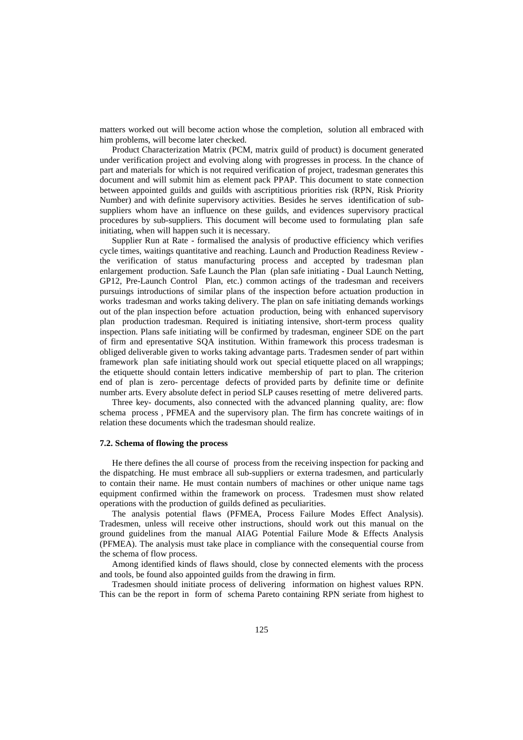matters worked out will become action whose the completion, solution all embraced with him problems, will become later checked.

Product Characterization Matrix (PCM, matrix guild of product) is document generated under verification project and evolving along with progresses in process. In the chance of part and materials for which is not required verification of project, tradesman generates this document and will submit him as element pack PPAP. This document to state connection between appointed guilds and guilds with ascriptitious priorities risk (RPN, Risk Priority Number) and with definite supervisory activities. Besides he serves identification of subsuppliers whom have an influence on these guilds, and evidences supervisory practical procedures by sub-suppliers. This document will become used to formulating plan safe initiating, when will happen such it is necessary.

Supplier Run at Rate - formalised the analysis of productive efficiency which verifies cycle times, waitings quantitative and reaching. Launch and Production Readiness Review the verification of status manufacturing process and accepted by tradesman plan enlargement production. Safe Launch the Plan (plan safe initiating - Dual Launch Netting, GP12, Pre-Launch Control Plan, etc.) common actings of the tradesman and receivers pursuings introductions of similar plans of the inspection before actuation production in works tradesman and works taking delivery. The plan on safe initiating demands workings out of the plan inspection before actuation production, being with enhanced supervisory plan production tradesman. Required is initiating intensive, short-term process quality inspection. Plans safe initiating will be confirmed by tradesman, engineer SDE on the part of firm and epresentative SQA institution. Within framework this process tradesman is obliged deliverable given to works taking advantage parts. Tradesmen sender of part within framework plan safe initiating should work out special etiquette placed on all wrappings; the etiquette should contain letters indicative membership of part to plan. The criterion end of plan is zero- percentage defects of provided parts by definite time or definite number arts. Every absolute defect in period SLP causes resetting of metre delivered parts.

Three key- documents, also connected with the advanced planning quality, are: flow schema process , PFMEA and the supervisory plan. The firm has concrete waitings of in relation these documents which the tradesman should realize.

#### **7.2. Schema of flowing the process**

He there defines the all course of process from the receiving inspection for packing and the dispatching. He must embrace all sub-suppliers or externa tradesmen, and particularly to contain their name. He must contain numbers of machines or other unique name tags equipment confirmed within the framework on process. Tradesmen must show related operations with the production of guilds defined as peculiarities.

The analysis potential flaws (PFMEA, Process Failure Modes Effect Analysis). Tradesmen, unless will receive other instructions, should work out this manual on the ground guidelines from the manual AIAG Potential Failure Mode & Effects Analysis (PFMEA). The analysis must take place in compliance with the consequential course from the schema of flow process.

Among identified kinds of flaws should, close by connected elements with the process and tools, be found also appointed guilds from the drawing in firm.

Tradesmen should initiate process of delivering information on highest values RPN. This can be the report in form of schema Pareto containing RPN seriate from highest to